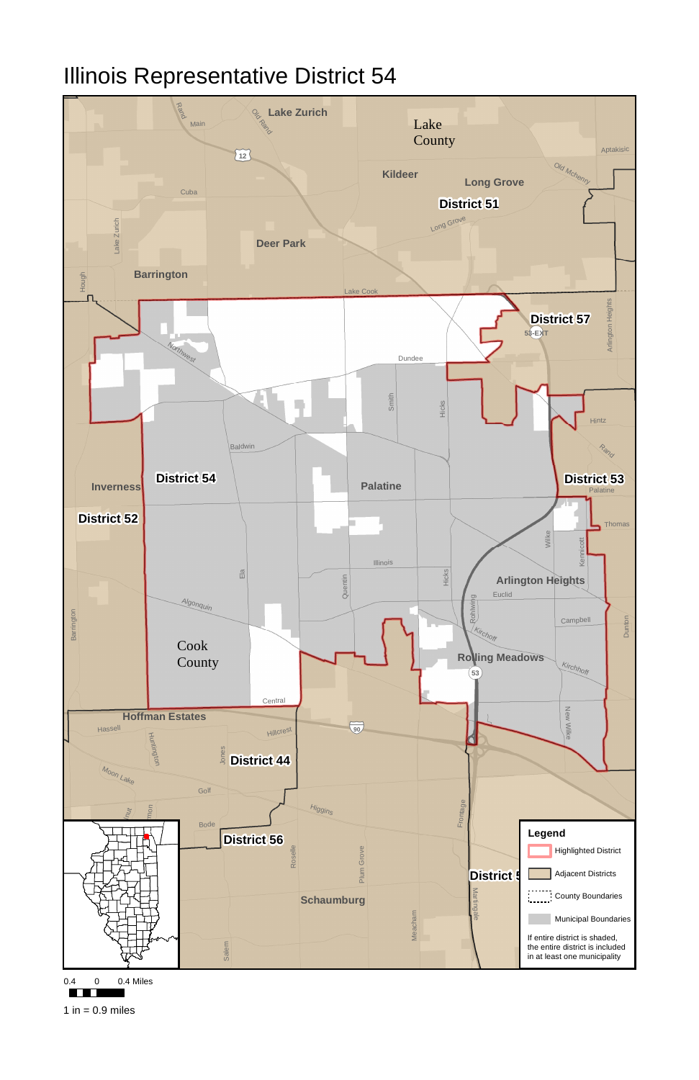

0.4 0 0.4 Miles



1 in  $= 0.9$  miles

## Illinois Representative District 54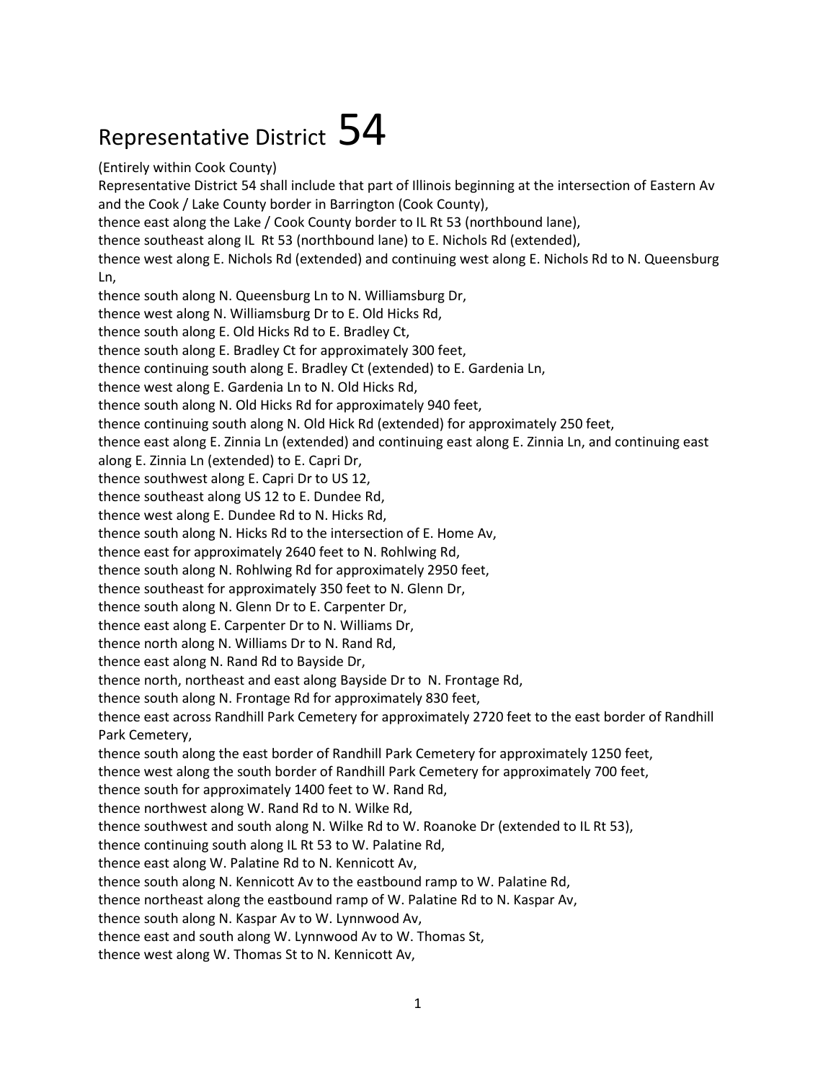## Representative District  $54$

(Entirely within Cook County) Representative District 54 shall include that part of Illinois beginning at the intersection of Eastern Av and the Cook / Lake County border in Barrington (Cook County), thence east along the Lake / Cook County border to IL Rt 53 (northbound lane), thence southeast along IL Rt 53 (northbound lane) to E. Nichols Rd (extended), thence west along E. Nichols Rd (extended) and continuing west along E. Nichols Rd to N. Queensburg Ln, thence south along N. Queensburg Ln to N. Williamsburg Dr, thence west along N. Williamsburg Dr to E. Old Hicks Rd, thence south along E. Old Hicks Rd to E. Bradley Ct, thence south along E. Bradley Ct for approximately 300 feet, thence continuing south along E. Bradley Ct (extended) to E. Gardenia Ln, thence west along E. Gardenia Ln to N. Old Hicks Rd, thence south along N. Old Hicks Rd for approximately 940 feet, thence continuing south along N. Old Hick Rd (extended) for approximately 250 feet, thence east along E. Zinnia Ln (extended) and continuing east along E. Zinnia Ln, and continuing east along E. Zinnia Ln (extended) to E. Capri Dr, thence southwest along E. Capri Dr to US 12, thence southeast along US 12 to E. Dundee Rd, thence west along E. Dundee Rd to N. Hicks Rd, thence south along N. Hicks Rd to the intersection of E. Home Av, thence east for approximately 2640 feet to N. Rohlwing Rd, thence south along N. Rohlwing Rd for approximately 2950 feet, thence southeast for approximately 350 feet to N. Glenn Dr, thence south along N. Glenn Dr to E. Carpenter Dr, thence east along E. Carpenter Dr to N. Williams Dr, thence north along N. Williams Dr to N. Rand Rd, thence east along N. Rand Rd to Bayside Dr, thence north, northeast and east along Bayside Dr to N. Frontage Rd, thence south along N. Frontage Rd for approximately 830 feet, thence east across Randhill Park Cemetery for approximately 2720 feet to the east border of Randhill Park Cemetery, thence south along the east border of Randhill Park Cemetery for approximately 1250 feet, thence west along the south border of Randhill Park Cemetery for approximately 700 feet, thence south for approximately 1400 feet to W. Rand Rd, thence northwest along W. Rand Rd to N. Wilke Rd, thence southwest and south along N. Wilke Rd to W. Roanoke Dr (extended to IL Rt 53), thence continuing south along IL Rt 53 to W. Palatine Rd, thence east along W. Palatine Rd to N. Kennicott Av, thence south along N. Kennicott Av to the eastbound ramp to W. Palatine Rd, thence northeast along the eastbound ramp of W. Palatine Rd to N. Kaspar Av, thence south along N. Kaspar Av to W. Lynnwood Av, thence east and south along W. Lynnwood Av to W. Thomas St, thence west along W. Thomas St to N. Kennicott Av,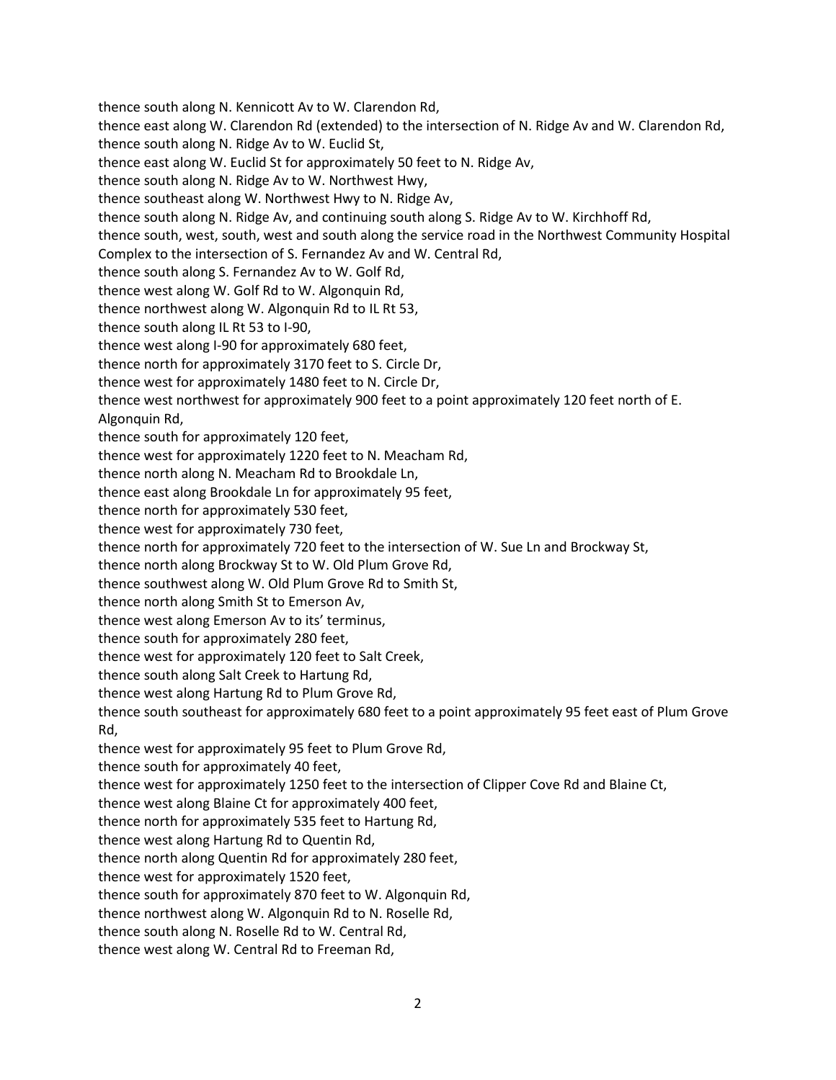thence south along N. Kennicott Av to W. Clarendon Rd, thence east along W. Clarendon Rd (extended) to the intersection of N. Ridge Av and W. Clarendon Rd, thence south along N. Ridge Av to W. Euclid St, thence east along W. Euclid St for approximately 50 feet to N. Ridge Av, thence south along N. Ridge Av to W. Northwest Hwy, thence southeast along W. Northwest Hwy to N. Ridge Av, thence south along N. Ridge Av, and continuing south along S. Ridge Av to W. Kirchhoff Rd, thence south, west, south, west and south along the service road in the Northwest Community Hospital Complex to the intersection of S. Fernandez Av and W. Central Rd, thence south along S. Fernandez Av to W. Golf Rd, thence west along W. Golf Rd to W. Algonquin Rd, thence northwest along W. Algonquin Rd to IL Rt 53, thence south along IL Rt 53 to I-90, thence west along I-90 for approximately 680 feet, thence north for approximately 3170 feet to S. Circle Dr, thence west for approximately 1480 feet to N. Circle Dr, thence west northwest for approximately 900 feet to a point approximately 120 feet north of E. Algonquin Rd, thence south for approximately 120 feet, thence west for approximately 1220 feet to N. Meacham Rd, thence north along N. Meacham Rd to Brookdale Ln, thence east along Brookdale Ln for approximately 95 feet, thence north for approximately 530 feet, thence west for approximately 730 feet, thence north for approximately 720 feet to the intersection of W. Sue Ln and Brockway St, thence north along Brockway St to W. Old Plum Grove Rd, thence southwest along W. Old Plum Grove Rd to Smith St, thence north along Smith St to Emerson Av, thence west along Emerson Av to its' terminus, thence south for approximately 280 feet, thence west for approximately 120 feet to Salt Creek, thence south along Salt Creek to Hartung Rd, thence west along Hartung Rd to Plum Grove Rd, thence south southeast for approximately 680 feet to a point approximately 95 feet east of Plum Grove Rd, thence west for approximately 95 feet to Plum Grove Rd, thence south for approximately 40 feet, thence west for approximately 1250 feet to the intersection of Clipper Cove Rd and Blaine Ct, thence west along Blaine Ct for approximately 400 feet, thence north for approximately 535 feet to Hartung Rd, thence west along Hartung Rd to Quentin Rd, thence north along Quentin Rd for approximately 280 feet, thence west for approximately 1520 feet, thence south for approximately 870 feet to W. Algonquin Rd, thence northwest along W. Algonquin Rd to N. Roselle Rd, thence south along N. Roselle Rd to W. Central Rd,

thence west along W. Central Rd to Freeman Rd,